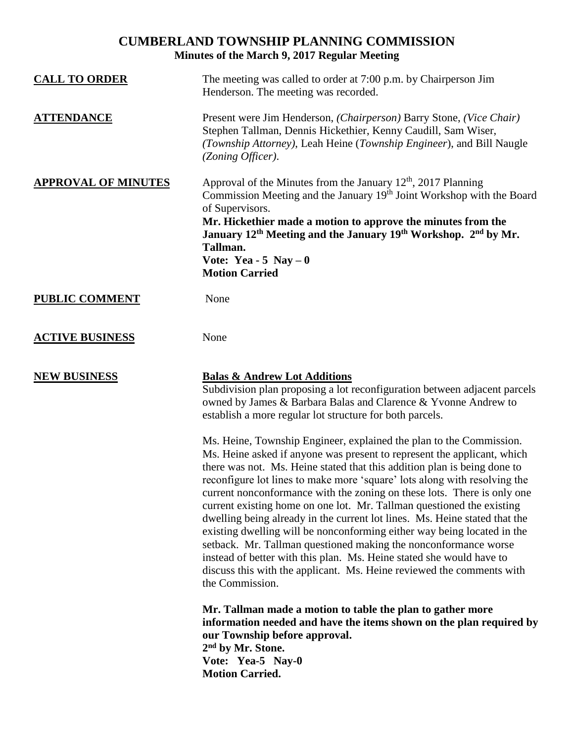# **CUMBERLAND TOWNSHIP PLANNING COMMISSION Minutes of the March 9, 2017 Regular Meeting**

| <b>CALL TO ORDER</b>       | The meeting was called to order at 7:00 p.m. by Chairperson Jim<br>Henderson. The meeting was recorded.                                                                                                                                                                                                                                                                                                                                                                                                                                                                                                                                                                                                                                                                                                                                                     |
|----------------------------|-------------------------------------------------------------------------------------------------------------------------------------------------------------------------------------------------------------------------------------------------------------------------------------------------------------------------------------------------------------------------------------------------------------------------------------------------------------------------------------------------------------------------------------------------------------------------------------------------------------------------------------------------------------------------------------------------------------------------------------------------------------------------------------------------------------------------------------------------------------|
| <b>ATTENDANCE</b>          | Present were Jim Henderson, (Chairperson) Barry Stone, (Vice Chair)<br>Stephen Tallman, Dennis Hickethier, Kenny Caudill, Sam Wiser,<br>(Township Attorney), Leah Heine (Township Engineer), and Bill Naugle<br>(Zoning Officer).                                                                                                                                                                                                                                                                                                                                                                                                                                                                                                                                                                                                                           |
| <b>APPROVAL OF MINUTES</b> | Approval of the Minutes from the January $12th$ , 2017 Planning<br>Commission Meeting and the January 19th Joint Workshop with the Board<br>of Supervisors.<br>Mr. Hickethier made a motion to approve the minutes from the<br>January 12 <sup>th</sup> Meeting and the January 19 <sup>th</sup> Workshop. 2 <sup>nd</sup> by Mr.<br>Tallman.<br>Vote: Yea - 5 Nay $-0$<br><b>Motion Carried</b>                                                                                                                                                                                                                                                                                                                                                                                                                                                            |
| <b>PUBLIC COMMENT</b>      | None                                                                                                                                                                                                                                                                                                                                                                                                                                                                                                                                                                                                                                                                                                                                                                                                                                                        |
| <b>ACTIVE BUSINESS</b>     | None                                                                                                                                                                                                                                                                                                                                                                                                                                                                                                                                                                                                                                                                                                                                                                                                                                                        |
| <b>NEW BUSINESS</b>        | <b>Balas &amp; Andrew Lot Additions</b><br>Subdivision plan proposing a lot reconfiguration between adjacent parcels<br>owned by James & Barbara Balas and Clarence & Yvonne Andrew to<br>establish a more regular lot structure for both parcels.                                                                                                                                                                                                                                                                                                                                                                                                                                                                                                                                                                                                          |
|                            | Ms. Heine, Township Engineer, explained the plan to the Commission.<br>Ms. Heine asked if anyone was present to represent the applicant, which<br>there was not. Ms. Heine stated that this addition plan is being done to<br>reconfigure lot lines to make more 'square' lots along with resolving the<br>current nonconformance with the zoning on these lots. There is only one<br>current existing home on one lot. Mr. Tallman questioned the existing<br>dwelling being already in the current lot lines. Ms. Heine stated that the<br>existing dwelling will be nonconforming either way being located in the<br>setback. Mr. Tallman questioned making the nonconformance worse<br>instead of better with this plan. Ms. Heine stated she would have to<br>discuss this with the applicant. Ms. Heine reviewed the comments with<br>the Commission. |
|                            | Mr. Tallman made a motion to table the plan to gather more<br>information needed and have the items shown on the plan required by<br>our Township before approval.<br>2 <sup>nd</sup> by Mr. Stone.<br>Vote: Yea-5 Nay-0<br><b>Motion Carried.</b>                                                                                                                                                                                                                                                                                                                                                                                                                                                                                                                                                                                                          |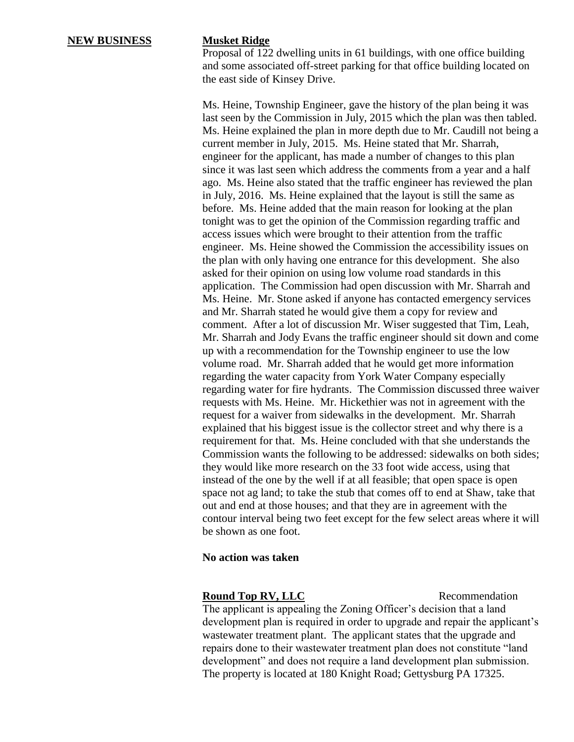Proposal of 122 dwelling units in 61 buildings, with one office building and some associated off-street parking for that office building located on the east side of Kinsey Drive.

Ms. Heine, Township Engineer, gave the history of the plan being it was last seen by the Commission in July, 2015 which the plan was then tabled. Ms. Heine explained the plan in more depth due to Mr. Caudill not being a current member in July, 2015. Ms. Heine stated that Mr. Sharrah, engineer for the applicant, has made a number of changes to this plan since it was last seen which address the comments from a year and a half ago. Ms. Heine also stated that the traffic engineer has reviewed the plan in July, 2016. Ms. Heine explained that the layout is still the same as before. Ms. Heine added that the main reason for looking at the plan tonight was to get the opinion of the Commission regarding traffic and access issues which were brought to their attention from the traffic engineer. Ms. Heine showed the Commission the accessibility issues on the plan with only having one entrance for this development. She also asked for their opinion on using low volume road standards in this application. The Commission had open discussion with Mr. Sharrah and Ms. Heine. Mr. Stone asked if anyone has contacted emergency services and Mr. Sharrah stated he would give them a copy for review and comment. After a lot of discussion Mr. Wiser suggested that Tim, Leah, Mr. Sharrah and Jody Evans the traffic engineer should sit down and come up with a recommendation for the Township engineer to use the low volume road. Mr. Sharrah added that he would get more information regarding the water capacity from York Water Company especially regarding water for fire hydrants. The Commission discussed three waiver requests with Ms. Heine. Mr. Hickethier was not in agreement with the request for a waiver from sidewalks in the development. Mr. Sharrah explained that his biggest issue is the collector street and why there is a requirement for that. Ms. Heine concluded with that she understands the Commission wants the following to be addressed: sidewalks on both sides; they would like more research on the 33 foot wide access, using that instead of the one by the well if at all feasible; that open space is open space not ag land; to take the stub that comes off to end at Shaw, take that out and end at those houses; and that they are in agreement with the contour interval being two feet except for the few select areas where it will be shown as one foot.

## **No action was taken**

### **Round Top RV, LLC** Recommendation

The applicant is appealing the Zoning Officer's decision that a land development plan is required in order to upgrade and repair the applicant's wastewater treatment plant. The applicant states that the upgrade and repairs done to their wastewater treatment plan does not constitute "land development" and does not require a land development plan submission. The property is located at 180 Knight Road; Gettysburg PA 17325.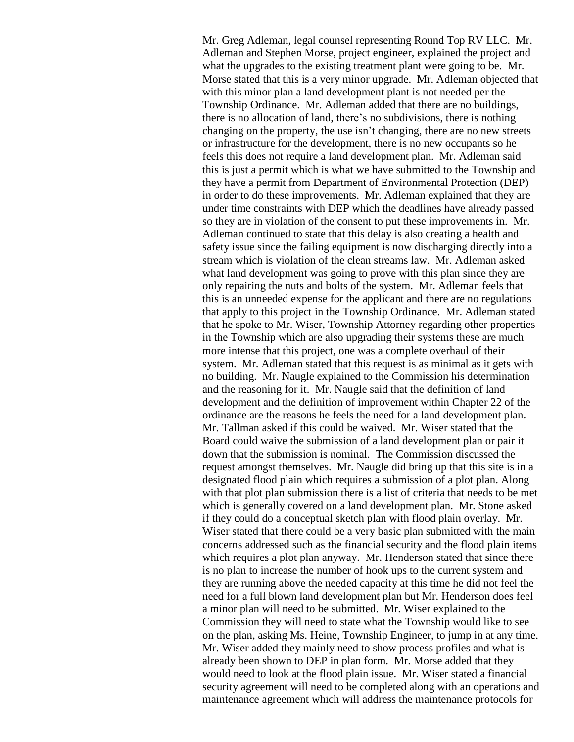Mr. Greg Adleman, legal counsel representing Round Top RV LLC. Mr. Adleman and Stephen Morse, project engineer, explained the project and what the upgrades to the existing treatment plant were going to be. Mr. Morse stated that this is a very minor upgrade. Mr. Adleman objected that with this minor plan a land development plant is not needed per the Township Ordinance. Mr. Adleman added that there are no buildings, there is no allocation of land, there's no subdivisions, there is nothing changing on the property, the use isn't changing, there are no new streets or infrastructure for the development, there is no new occupants so he feels this does not require a land development plan. Mr. Adleman said this is just a permit which is what we have submitted to the Township and they have a permit from Department of Environmental Protection (DEP) in order to do these improvements. Mr. Adleman explained that they are under time constraints with DEP which the deadlines have already passed so they are in violation of the consent to put these improvements in. Mr. Adleman continued to state that this delay is also creating a health and safety issue since the failing equipment is now discharging directly into a stream which is violation of the clean streams law. Mr. Adleman asked what land development was going to prove with this plan since they are only repairing the nuts and bolts of the system. Mr. Adleman feels that this is an unneeded expense for the applicant and there are no regulations that apply to this project in the Township Ordinance. Mr. Adleman stated that he spoke to Mr. Wiser, Township Attorney regarding other properties in the Township which are also upgrading their systems these are much more intense that this project, one was a complete overhaul of their system. Mr. Adleman stated that this request is as minimal as it gets with no building. Mr. Naugle explained to the Commission his determination and the reasoning for it. Mr. Naugle said that the definition of land development and the definition of improvement within Chapter 22 of the ordinance are the reasons he feels the need for a land development plan. Mr. Tallman asked if this could be waived. Mr. Wiser stated that the Board could waive the submission of a land development plan or pair it down that the submission is nominal. The Commission discussed the request amongst themselves. Mr. Naugle did bring up that this site is in a designated flood plain which requires a submission of a plot plan. Along with that plot plan submission there is a list of criteria that needs to be met which is generally covered on a land development plan. Mr. Stone asked if they could do a conceptual sketch plan with flood plain overlay. Mr. Wiser stated that there could be a very basic plan submitted with the main concerns addressed such as the financial security and the flood plain items which requires a plot plan anyway. Mr. Henderson stated that since there is no plan to increase the number of hook ups to the current system and they are running above the needed capacity at this time he did not feel the need for a full blown land development plan but Mr. Henderson does feel a minor plan will need to be submitted. Mr. Wiser explained to the Commission they will need to state what the Township would like to see on the plan, asking Ms. Heine, Township Engineer, to jump in at any time. Mr. Wiser added they mainly need to show process profiles and what is already been shown to DEP in plan form. Mr. Morse added that they would need to look at the flood plain issue. Mr. Wiser stated a financial security agreement will need to be completed along with an operations and maintenance agreement which will address the maintenance protocols for